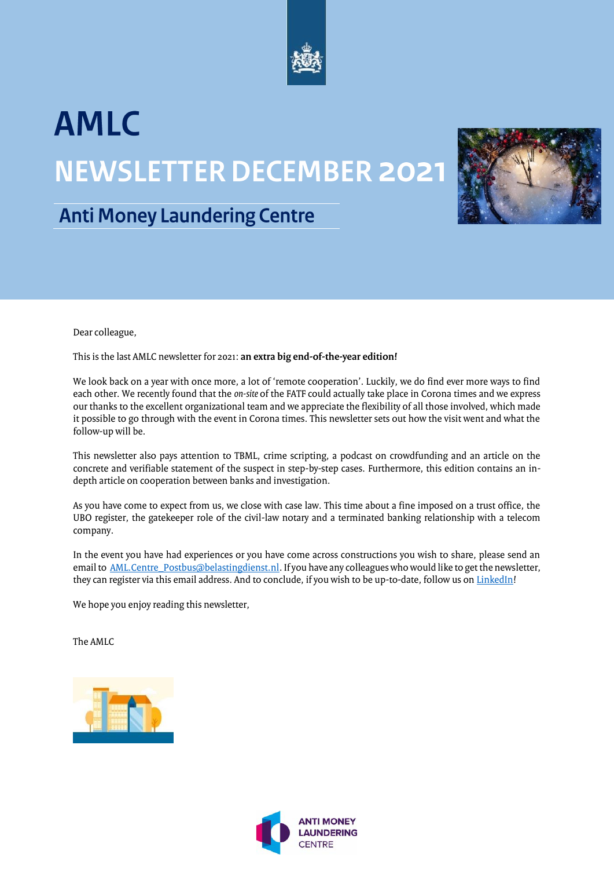

# **AMLC NEWSLETTER DECEMBER 2021**



### **Anti Money Laundering Centre**

Dear colleague,

This is the last AMLC newsletter for 2021: **an extra big end-of-the-year edition!**

We look back on a year with once more, a lot of 'remote cooperation'. Luckily, we do find ever more ways to find each other. We recently found that the *on-site* of the FATF could actually take place in Corona times and we express our thanks to the excellent organizational team and we appreciate the flexibility of all those involved, which made it possible to go through with the event in Corona times. This newsletter sets out how the visit went and what the follow-up will be.

This newsletter also pays attention to TBML, crime scripting, a podcast on crowdfunding and an article on the concrete and verifiable statement of the suspect in step-by-step cases. Furthermore, this edition contains an indepth article on cooperation between banks and investigation.

As you have come to expect from us, we close with case law. This time about a fine imposed on a trust office, the UBO register, the gatekeeper role of the civil-law notary and a terminated banking relationship with a telecom company.

In the event you have had experiences or you have come across constructions you wish to share, please send an email to [AML.Centre\\_Postbus@belastingdienst.nl.](mailto:AML.Centre_Postbus@belastingdienst.nl) If you have any colleagues who would like to get the newsletter, they can register via this email address. And to conclude, if you wish to be up-to-date, follow us o[n LinkedIn!](https://www.linkedin.com/company/amlc)

We hope you enjoy reading this newsletter,

The AMLC



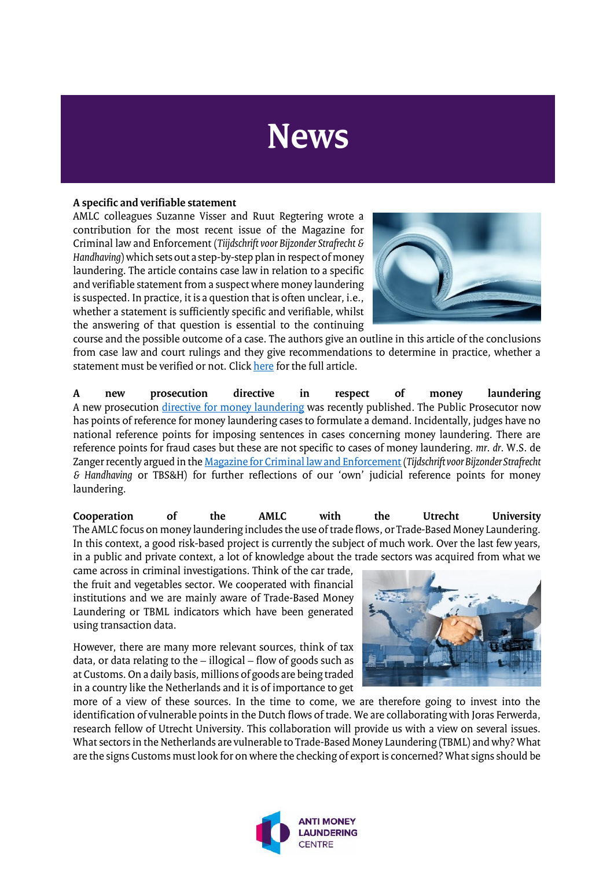## **News**

#### **A specific and verifiable statement**

AMLC colleagues Suzanne Visser and Ruut Regtering wrote a contribution for the most recent issue of the Magazine for Criminal law and Enforcement (*Tiijdschrift voor Bijzonder Strafrecht & Handhaving*) which sets out a step-by-step plan in respect of money laundering. The article contains case law in relation to a specific and verifiable statement from a suspect where money laundering is suspected. In practice, it is a question that is often unclear, i.e., whether a statement is sufficiently specific and verifiable, whilst the answering of that question is essential to the continuing



course and the possible outcome of a case. The authors give an outline in this article of the conclusions from case law and court rulings and they give recommendations to determine in practice, whether a statement must be verified or not. Clic[k here](https://www.bjutijdschriften.nl/tijdschrift/TBSH/2021/6/TBSenH_2295-6700_2021_007_006_006) for the full article.

**A new prosecution directive in respect of money laundering** A new prosecution [directive for money laundering](https://zoek.officielebekendmakingen.nl/stcrt-2021-44192.html) was recently published. The Public Prosecutor now has points of reference for money laundering cases to formulate a demand. Incidentally, judges have no national reference points for imposing sentences in cases concerning money laundering. There are reference points for fraud cases but these are not specific to cases of money laundering. *mr*. *dr*. W.S. de Zanger recently argued in th[e Magazine for Criminal law and Enforcement](https://www.bjutijdschriften.nl/tijdschrift/TBSH/2021/4/TBSenH_2295-6700_2021_007_004_001) (*Tijdschrift voor Bijzonder Strafrecht & Handhaving* or TBS&H) for further reflections of our 'own' judicial reference points for money laundering.

**Cooperation of the AMLC with the Utrecht University**  The AMLC focus on money laundering includes the use of trade flows, or Trade-Based Money Laundering. In this context, a good risk-based project is currently the subject of much work. Over the last few years, in a public and private context, a lot of knowledge about the trade sectors was acquired from what we

came across in criminal investigations. Think of the car trade, the fruit and vegetables sector. We cooperated with financial institutions and we are mainly aware of Trade-Based Money Laundering or TBML indicators which have been generated using transaction data.

However, there are many more relevant sources, think of tax data, or data relating to the – illogical – flow of goods such as at Customs. On a daily basis, millions of goods are being traded in a country like the Netherlands and it is of importance to get



more of a view of these sources. In the time to come, we are therefore going to invest into the identification of vulnerable points in the Dutch flows of trade. We are collaborating with Joras Ferwerda, research fellow of Utrecht University. This collaboration will provide us with a view on several issues. What sectors in the Netherlands are vulnerable to Trade-Based Money Laundering (TBML) and why? What are the signs Customs must look for on where the checking of export is concerned? What signs should be

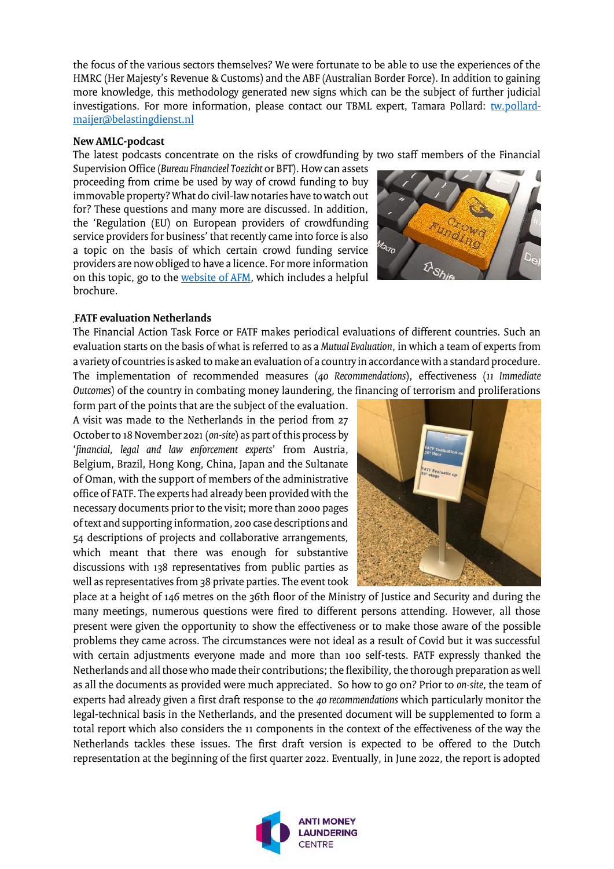the focus of the various sectors themselves? We were fortunate to be able to use the experiences of the HMRC (Her Majesty's Revenue & Customs) and the ABF (Australian Border Force). In addition to gaining more knowledge, this methodology generated new signs which can be the subject of further judicial investigations. For more information, please contact our TBML expert, Tamara Pollard: [tw.pollard](mailto:tw.pollard-maijer@belastingdienst.nl)[maijer@belastingdienst.nl](mailto:tw.pollard-maijer@belastingdienst.nl)

#### **New AMLC-podcast**

The latest podcasts concentrate on the risks of crowdfunding by two staff members of the Financial

Supervision Office (*Bureau Financieel Toezicht* or BFT). How can assets proceeding from crime be used by way of crowd funding to buy immovable property? What do civil-law notaries have to watch out for? These questions and many more are discussed. In addition, the 'Regulation (EU) on European providers of crowdfunding service providers for business' that recently came into force is also a topic on the basis of which certain crowd funding service providers are now obliged to have a licence. For more information on this topic, go to th[e website of AFM,](https://www.afm.nl/nl-nl/professionals/doelgroepen/crowdfundingplatformen/vergunning-vereisten/eu-verordening) which includes a helpful brochure.



#### **FATF evaluation Netherlands**

The Financial Action Task Force or FATF makes periodical evaluations of different countries. Such an evaluation starts on the basis of what is referred to as a *Mutual Evaluation*, in which a team of experts from a variety of countries is asked to make an evaluation of a country in accordance with a standard procedure. The implementation of recommended measures (*40 Recommendations*), effectiveness (*11 Immediate Outcomes*) of the country in combating money laundering, the financing of terrorism and proliferations

form part of the points that are the subject of the evaluation. A visit was made to the Netherlands in the period from 27 October to 18 November 2021 (*on-site*) as part of this process by '*financial, legal and law enforcement experts*' from Austria, Belgium, Brazil, Hong Kong, China, Japan and the Sultanate of Oman, with the support of members of the administrative office of FATF. The experts had already been provided with the necessary documents prior to the visit; more than 2000 pages of text and supporting information, 200 case descriptions and 54 descriptions of projects and collaborative arrangements, which meant that there was enough for substantive discussions with 138 representatives from public parties as well as representatives from 38 private parties. The event took



place at a height of 146 metres on the 36th floor of the Ministry of Justice and Security and during the many meetings, numerous questions were fired to different persons attending. However, all those present were given the opportunity to show the effectiveness or to make those aware of the possible problems they came across. The circumstances were not ideal as a result of Covid but it was successful with certain adjustments everyone made and more than 100 self-tests. FATF expressly thanked the Netherlands and all those who made their contributions; the flexibility, the thorough preparation as well as all the documents as provided were much appreciated. So how to go on? Prior to *on-site*, the team of experts had already given a first draft response to the *40 recommendations* which particularly monitor the legal-technical basis in the Netherlands, and the presented document will be supplemented to form a total report which also considers the 11 components in the context of the effectiveness of the way the Netherlands tackles these issues. The first draft version is expected to be offered to the Dutch representation at the beginning of the first quarter 2022. Eventually, in June 2022, the report is adopted

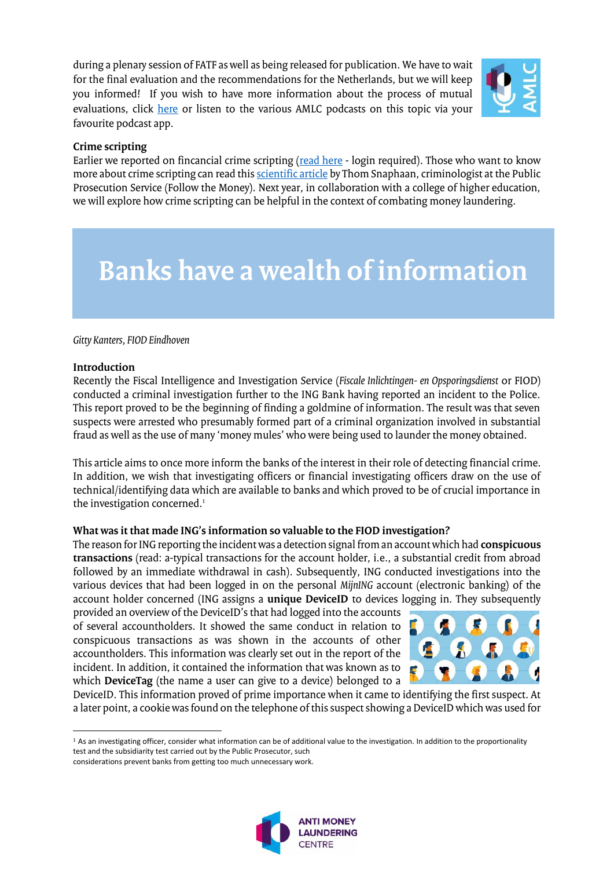during a plenary session of FATF as well as being released for publication. We have to wait for the final evaluation and the recommendations for the Netherlands, but we will keep you informed! If you wish to have more information about the process of mutual evaluations, click [here](https://www.fatf-gafi.org/publications/mutualevaluations/more/more-about-mutual-evaluations.html?hf=10&b=0&s=desc(fatf_releasedate)) or listen to the various AMLC podcasts on this topic via your favourite podcast app.



#### **Crime scripting**

Earlier we reported on fincancial crime scripting [\(read here](https://www.amlc.nl/financial-crime-scripting/) - login required). Those who want to know more about crime scripting can read this [scientific article](https://www.researchgate.net/publication/356646234_Licht_camera_actie_Een_intelligencegestuurde_aanpak_van_criminaliteit_met_crime_scripting) by Thom Snaphaan, criminologist at the Public Prosecution Service (Follow the Money). Next year, in collaboration with a college of higher education, we will explore how crime scripting can be helpful in the context of combating money laundering.

### **Banks have a wealth of information**

#### *Gitty Kanters, FIOD Eindhoven*

#### **Introduction**

 $\overline{\phantom{a}}$ 

Recently the Fiscal Intelligence and Investigation Service (*Fiscale Inlichtingen- en Opsporingsdienst* or FIOD) conducted a criminal investigation further to the ING Bank having reported an incident to the Police. This report proved to be the beginning of finding a goldmine of information. The result was that seven suspects were arrested who presumably formed part of a criminal organization involved in substantial fraud as well as the use of many 'money mules' who were being used to launder the money obtained.

This article aims to once more inform the banks of the interest in their role of detecting financial crime. In addition, we wish that investigating officers or financial investigating officers draw on the use of technical/identifying data which are available to banks and which proved to be of crucial importance in the investigation concerned.<sup>1</sup>

#### **What was it that made ING's information so valuable to the FIOD investigation?**

The reason for ING reporting the incident was a detection signal from an account which had **conspicuous transactions** (read: a-typical transactions for the account holder, i.e., a substantial credit from abroad followed by an immediate withdrawal in cash). Subsequently, ING conducted investigations into the various devices that had been logged in on the personal *MijnING* account (electronic banking) of the account holder concerned (ING assigns a **unique DeviceID** to devices logging in. They subsequently

provided an overview of the DeviceID's that had logged into the accounts of several accountholders. It showed the same conduct in relation to conspicuous transactions as was shown in the accounts of other accountholders. This information was clearly set out in the report of the incident. In addition, it contained the information that was known as to which **DeviceTag** (the name a user can give to a device) belonged to a



DeviceID. This information proved of prime importance when it came to identifying the first suspect. At a later point, a cookie was found on the telephone of this suspect showing a DeviceID which was used for

considerations prevent banks from getting too much unnecessary work.



 $1$  As an investigating officer, consider what information can be of additional value to the investigation. In addition to the proportionality test and the subsidiarity test carried out by the Public Prosecutor, such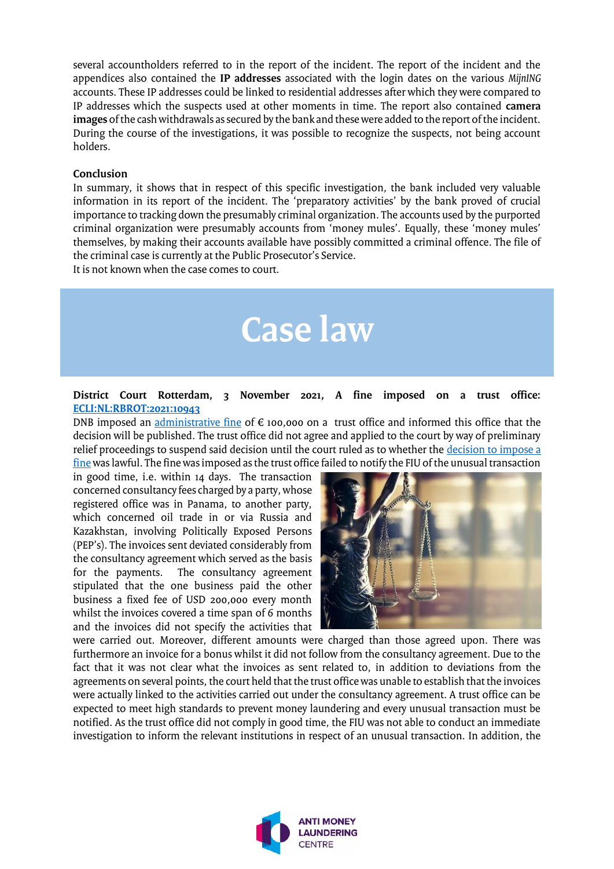several accountholders referred to in the report of the incident. The report of the incident and the appendices also contained the **IP addresses** associated with the login dates on the various *MijnING* accounts. These IP addresses could be linked to residential addresses after which they were compared to IP addresses which the suspects used at other moments in time. The report also contained **camera images** of the cash withdrawals as secured by the bank and these were added to the report of the incident. During the course of the investigations, it was possible to recognize the suspects, not being account holders.

#### **Conclusion**

In summary, it shows that in respect of this specific investigation, the bank included very valuable information in its report of the incident. The 'preparatory activities' by the bank proved of crucial importance to tracking down the presumably criminal organization. The accounts used by the purported criminal organization were presumably accounts from 'money mules'. Equally, these 'money mules' themselves, by making their accounts available have possibly committed a criminal offence. The file of the criminal case is currently at the Public Prosecutor's Service.

It is not known when the case comes to court.

## **Case law**

#### **District Court Rotterdam, 3 November 2021, A fine imposed on a trust office: [ECLI:NL:RBROT:2021:10943](https://uitspraken.rechtspraak.nl/inziendocument?id=ECLI:NL:RBROT:2021:10943&showbutton=true&keyword=ECLI%3aNL%3aRBROT%3a2021%3a10943+)**

DNB imposed an [administrative fine](https://www.dnb.nl/actueel/nieuws-toezicht/boetes-2021/boete-van-dnb-voor-jtc-institutional-services-netherlands-b-v/) of  $\epsilon$  100,000 on a trust office and informed this office that the decision will be published. The trust office did not agree and applied to the court by way of preliminary relief proceedings to suspend said decision until the court ruled as to whether the [decision to impose a](https://www.dnb.nl/media/41kluekl/boete-van-dnb-voor-jtc-institutional-services-netherlands.pdf)  [fine](https://www.dnb.nl/media/41kluekl/boete-van-dnb-voor-jtc-institutional-services-netherlands.pdf) was lawful. The fine was imposed as the trust office failed to notify the FIU of the unusual transaction

in good time, i.e. within 14 days. The transaction concerned consultancy fees charged by a party, whose registered office was in Panama, to another party, which concerned oil trade in or via Russia and Kazakhstan, involving Politically Exposed Persons (PEP's). The invoices sent deviated considerably from the consultancy agreement which served as the basis<br>for the payments. The consultancy agreement The consultancy agreement stipulated that the one business paid the other business a fixed fee of USD 200,000 every month whilst the invoices covered a time span of 6 months and the invoices did not specify the activities that



were carried out. Moreover, different amounts were charged than those agreed upon. There was furthermore an invoice for a bonus whilst it did not follow from the consultancy agreement. Due to the fact that it was not clear what the invoices as sent related to, in addition to deviations from the agreements on several points, the court held that the trust office was unable to establish that the invoices were actually linked to the activities carried out under the consultancy agreement. A trust office can be expected to meet high standards to prevent money laundering and every unusual transaction must be notified. As the trust office did not comply in good time, the FIU was not able to conduct an immediate investigation to inform the relevant institutions in respect of an unusual transaction. In addition, the

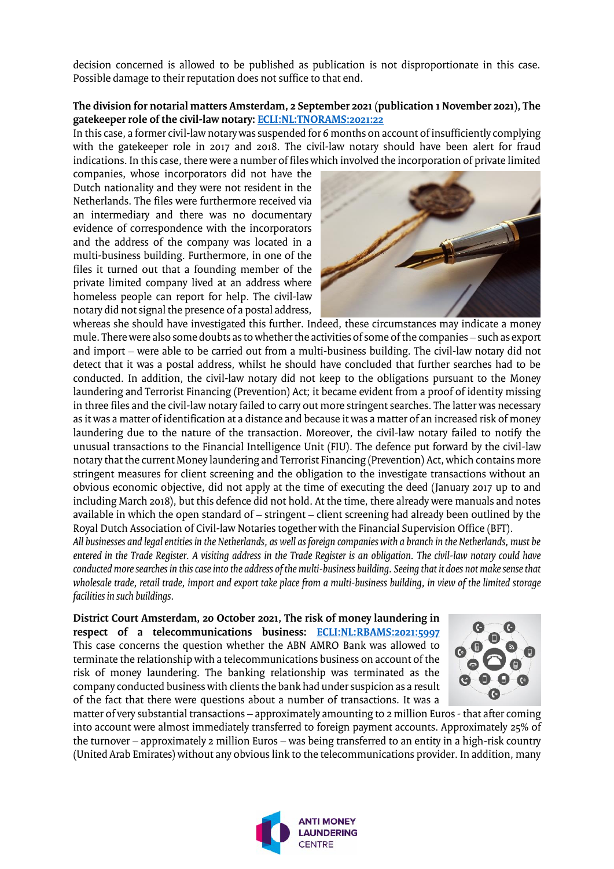decision concerned is allowed to be published as publication is not disproportionate in this case. Possible damage to their reputation does not suffice to that end.

#### **The division for notarial matters Amsterdam, 2 September 2021 (publication 1 November 2021), The gatekeeper role of the civil-law notary[: ECLI:NL:TNORAMS:2021:22](https://tuchtrecht.overheid.nl/zoeken/resultaat/uitspraak/2021/ECLI_NL_TNORAMS_2021_22)**

In this case, a former civil-law notary was suspended for 6 months on account of insufficiently complying with the gatekeeper role in 2017 and 2018. The civil-law notary should have been alert for fraud indications. In this case, there were a number of files which involved the incorporation of private limited

companies, whose incorporators did not have the Dutch nationality and they were not resident in the Netherlands. The files were furthermore received via an intermediary and there was no documentary evidence of correspondence with the incorporators and the address of the company was located in a multi-business building. Furthermore, in one of the files it turned out that a founding member of the private limited company lived at an address where homeless people can report for help. The civil-law notary did not signal the presence of a postal address,



whereas she should have investigated this further. Indeed, these circumstances may indicate a money mule. There were also some doubts as to whether the activities of some of the companies – such as export and import – were able to be carried out from a multi-business building. The civil-law notary did not detect that it was a postal address, whilst he should have concluded that further searches had to be conducted. In addition, the civil-law notary did not keep to the obligations pursuant to the Money laundering and Terrorist Financing (Prevention) Act; it became evident from a proof of identity missing in three files and the civil-law notary failed to carry out more stringent searches. The latter was necessary as it was a matter of identification at a distance and because it was a matter of an increased risk of money laundering due to the nature of the transaction. Moreover, the civil-law notary failed to notify the unusual transactions to the Financial Intelligence Unit (FIU). The defence put forward by the civil-law notary that the current Money laundering and Terrorist Financing (Prevention) Act, which contains more stringent measures for client screening and the obligation to the investigate transactions without an obvious economic objective, did not apply at the time of executing the deed (January 2017 up to and including March 2018), but this defence did not hold. At the time, there already were manuals and notes available in which the open standard of – stringent – client screening had already been outlined by the Royal Dutch Association of Civil-law Notaries together with the Financial Supervision Office (BFT).

*All businesses and legal entities in the Netherlands, as well as foreign companies with a branch in the Netherlands, must be entered in the Trade Register. A visiting address in the Trade Register is an obligation. The civil-law notary could have conducted more searches in this case into the address of the multi-business building. Seeing that it does not make sense that*  wholesale trade, retail trade, import and export take place from a multi-business building, in view of the limited storage *facilities in such buildings.* 

**District Court Amsterdam, 20 October 2021, The risk of money laundering in respect of a telecommunications business: [ECLI:NL:RBAMS:2021:5997](https://uitspraken.rechtspraak.nl/inziendocument?id=ECLI:NL:RBAMS:2021:5997)** This case concerns the question whether the ABN AMRO Bank was allowed to terminate the relationship with a telecommunications business on account of the risk of money laundering. The banking relationship was terminated as the company conducted business with clients the bank had under suspicion as a result of the fact that there were questions about a number of transactions. It was a



matter of very substantial transactions – approximately amounting to 2 million Euros - that after coming into account were almost immediately transferred to foreign payment accounts. Approximately 25% of the turnover – approximately 2 million Euros – was being transferred to an entity in a high-risk country (United Arab Emirates) without any obvious link to the telecommunications provider. In addition, many

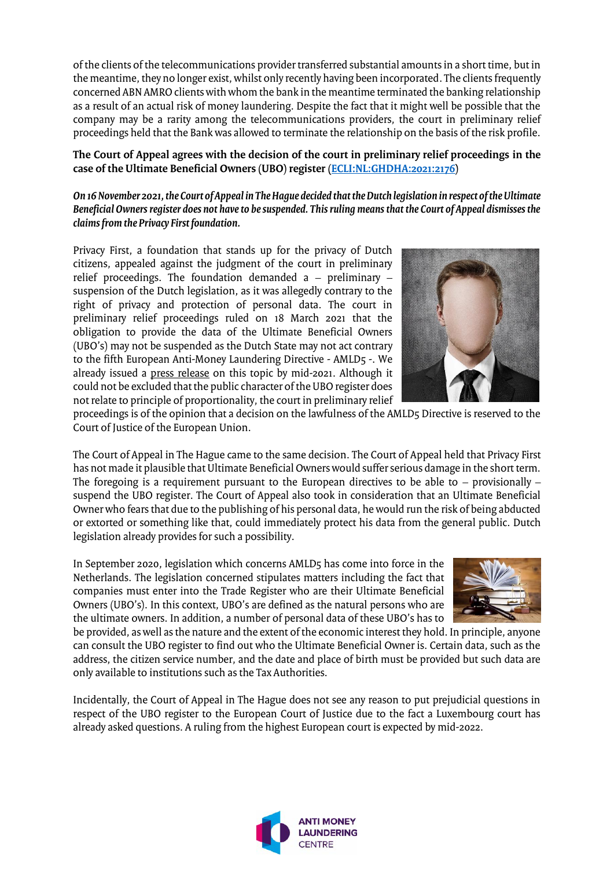of the clients of the telecommunications provider transferred substantial amounts in a short time, but in the meantime, they no longer exist, whilst only recently having been incorporated. The clients frequently concerned ABN AMRO clients with whom the bank in the meantime terminated the banking relationship as a result of an actual risk of money laundering. Despite the fact that it might well be possible that the company may be a rarity among the telecommunications providers, the court in preliminary relief proceedings held that the Bank was allowed to terminate the relationship on the basis of the risk profile.

#### **The Court of Appeal agrees with the decision of the court in preliminary relief proceedings in the case of the Ultimate Beneficial Owners (UBO) register [\(ECLI:NL:GHDHA:2021:2176\)](https://uitspraken.rechtspraak.nl/inziendocument?id=ECLI:NL:GHDHA:2021:2176&showbutton=true&keyword=privacy+first)**

*On 16 November 2021, the Court of Appeal in The Hague decided that the Dutch legislation in respect of the Ultimate Beneficial Owners register does not have to be suspended. This ruling means that the Court of Appeal dismisses the claims from the Privacy First foundation.* 

Privacy First, a foundation that stands up for the privacy of Dutch citizens, appealed against the judgment of the court in preliminary relief proceedings. The foundation demanded a – preliminary – suspension of the Dutch legislation, as it was allegedly contrary to the right of privacy and protection of personal data. The court in preliminary relief proceedings ruled on 18 March 2021 that the obligation to provide the data of the Ultimate Beneficial Owners (UBO's) may not be suspended as the Dutch State may not act contrary to the fifth European Anti-Money Laundering Directive - AMLD5 -. We already issued a press release on this topic by mid-2021. Although it could not be excluded that the public character of the UBO register does not relate to principle of proportionality, the court in preliminary relief



proceedings is of the opinion that a decision on the lawfulness of the AMLD5 Directive is reserved to the Court of Justice of the European Union.

The Court of Appeal in The Hague came to the same decision. The Court of Appeal held that Privacy First has not made it plausible that Ultimate Beneficial Owners would suffer serious damage in the short term. The foregoing is a requirement pursuant to the European directives to be able to  $-$  provisionally  $$ suspend the UBO register. The Court of Appeal also took in consideration that an Ultimate Beneficial Owner who fears that due to the publishing of his personal data, he would run the risk of being abducted or extorted or something like that, could immediately protect his data from the general public. Dutch legislation already provides for such a possibility.

In September 2020, legislation which concerns AMLD5 has come into force in the Netherlands. The legislation concerned stipulates matters including the fact that companies must enter into the Trade Register who are their Ultimate Beneficial Owners (UBO's). In this context, UBO's are defined as the natural persons who are the ultimate owners. In addition, a number of personal data of these UBO's has to



be provided, as well as the nature and the extent of the economic interest they hold. In principle, anyone can consult the UBO register to find out who the Ultimate Beneficial Owner is. Certain data, such as the address, the citizen service number, and the date and place of birth must be provided but such data are only available to institutions such as the Tax Authorities.

Incidentally, the Court of Appeal in The Hague does not see any reason to put prejudicial questions in respect of the UBO register to the European Court of Justice due to the fact a Luxembourg court has already asked questions. A ruling from the highest European court is expected by mid-2022.